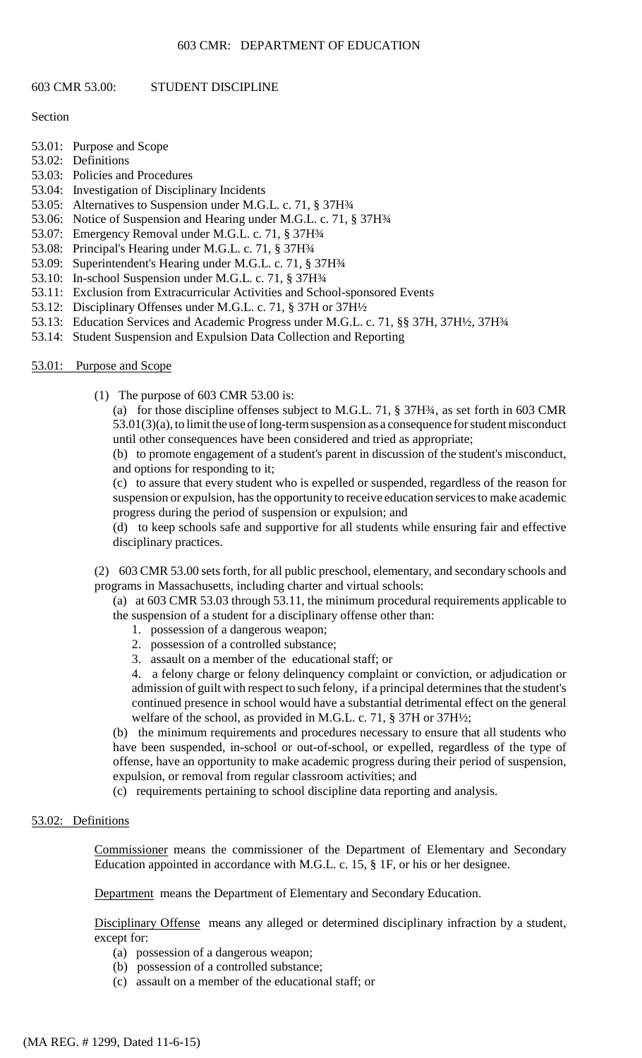#### 603 CMR: DEPARTMENT OF EDUCATION

#### 603 CMR 53.00: STUDENT DISCIPLINE

#### Section

- 53.01: Purpose and Scope
- 53.02: Definitions
- 53.03: Policies and Procedures
- 53.04: Investigation of Disciplinary Incidents
- 53.05: Alternatives to Suspension under M.G.L. c. 71, § 37H¾
- 53.06: Notice of Suspension and Hearing under M.G.L. c. 71, § 37H¾
- 53.07: Emergency Removal under M.G.L. c. 71, § 37H¾
- 53.08: Principal's Hearing under M.G.L. c. 71, § 37H¾
- 53.09: Superintendent's Hearing under M.G.L. c. 71, § 37H¾
- 53.10: In-school Suspension under M.G.L. c. 71, § 37H¾
- 53.11: Exclusion from Extracurricular Activities and School-sponsored Events
- 53.12: Disciplinary Offenses under M.G.L. c. 71, § 37H or 37H½
- 53.13: Education Services and Academic Progress under M.G.L. c. 71, §§ 37H, 37H½, 37H¾
- 53.14: Student Suspension and Expulsion Data Collection and Reporting

#### 53.01: Purpose and Scope

(1) The purpose of 603 CMR 53.00 is:

(a) for those discipline offenses subject to M.G.L. 71, § 37H¾, as set forth in 603 CMR 53.01(3)(a), to limit the use of long-term suspension as a consequence for student misconduct until other consequences have been considered and tried as appropriate;

(b) to promote engagement of a student's parent in discussion of the student's misconduct, and options for responding to it;

 (c) to assure that every student who is expelled or suspended, regardless of the reason for suspension or expulsion, has the opportunity to receive education services to make academic progress during the period of suspension or expulsion; and

(d) to keep schools safe and supportive for all students while ensuring fair and effective disciplinary practices.

(2) 603 CMR 53.00 sets forth, for all public preschool, elementary, and secondary schools and programs in Massachusetts, including charter and virtual schools:

(a) at 603 CMR 53.03 through 53.11, the minimum procedural requirements applicable to the suspension of a student for a disciplinary offense other than:

- 1. possession of a dangerous weapon;
- 2. possession of a controlled substance;
- 3. assault on a member of the educational staff; or

 admission of guilt with respect to such felony, if a principal determines that the student's 4. a felony charge or felony delinquency complaint or conviction, or adjudication or continued presence in school would have a substantial detrimental effect on the general welfare of the school, as provided in M.G.L. c. 71, § 37H or 37H½;

(b) the minimum requirements and procedures necessary to ensure that all students who have been suspended, in-school or out-of-school, or expelled, regardless of the type of offense, have an opportunity to make academic progress during their period of suspension, expulsion, or removal from regular classroom activities; and

(c) requirements pertaining to school discipline data reporting and analysis.

# 53.02: Definitions

Commissioner means the commissioner of the Department of Elementary and Secondary Education appointed in accordance with M.G.L. c. 15, § 1F, or his or her designee.

Department means the Department of Elementary and Secondary Education.

Disciplinary Offense means any alleged or determined disciplinary infraction by a student, except for:

- (a) possession of a dangerous weapon;
- (b) possession of a controlled substance;
- (c) assault on a member of the educational staff; or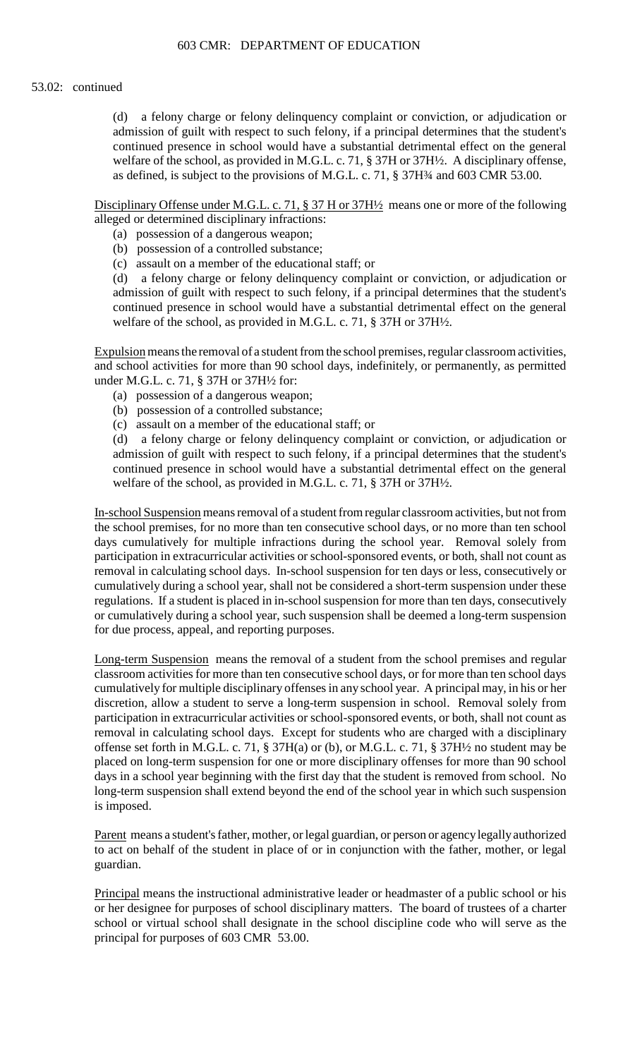### 53.02: continued

(d) a felony charge or felony delinquency complaint or conviction, or adjudication or admission of guilt with respect to such felony, if a principal determines that the student's continued presence in school would have a substantial detrimental effect on the general welfare of the school, as provided in M.G.L. c. 71, § 37H or 37H½. A disciplinary offense, as defined, is subject to the provisions of M.G.L. c. 71, § 37H¾ and 603 CMR 53.00.

Disciplinary Offense under M.G.L. c. 71, § 37 H or 37H<sup>1</sup>/2</sup> means one or more of the following alleged or determined disciplinary infractions:

- (a) possession of a dangerous weapon;
- (b) possession of a controlled substance;
- (c) assault on a member of the educational staff; or

 admission of guilt with respect to such felony, if a principal determines that the student's (d) a felony charge or felony delinquency complaint or conviction, or adjudication or continued presence in school would have a substantial detrimental effect on the general welfare of the school, as provided in M.G.L. c. 71, § 37H or 37H½.

Expulsion means the removal of a student from the school premises, regular classroom activities, and school activities for more than 90 school days, indefinitely, or permanently, as permitted under M.G.L. c. 71, § 37H or 37H½ for:

- (a) possession of a dangerous weapon;
- (b) possession of a controlled substance;
- (c) assault on a member of the educational staff; or

 admission of guilt with respect to such felony, if a principal determines that the student's (d) a felony charge or felony delinquency complaint or conviction, or adjudication or continued presence in school would have a substantial detrimental effect on the general welfare of the school, as provided in M.G.L. c. 71, § 37H or 37H½.

 regulations. If a student is placed in in-school suspension for more than ten days, consecutively In-school Suspension means removal of a student from regular classroom activities, but not from the school premises, for no more than ten consecutive school days, or no more than ten school days cumulatively for multiple infractions during the school year. Removal solely from participation in extracurricular activities or school-sponsored events, or both, shall not count as removal in calculating school days. In-school suspension for ten days or less, consecutively or cumulatively during a school year, shall not be considered a short-term suspension under these or cumulatively during a school year, such suspension shall be deemed a long-term suspension for due process, appeal, and reporting purposes.

 classroom activities for more than ten consecutive school days, or for more than ten school days cumulatively for multiple disciplinary offenses in any school year. A principal may, in his or her discretion, allow a student to serve a long-term suspension in school. Removal solely from Long-term Suspension means the removal of a student from the school premises and regular participation in extracurricular activities or school-sponsored events, or both, shall not count as removal in calculating school days. Except for students who are charged with a disciplinary offense set forth in M.G.L. c. 71,  $\S 37H(a)$  or (b), or M.G.L. c. 71,  $\S 37H<sup>2</sup>$  no student may be placed on long-term suspension for one or more disciplinary offenses for more than 90 school days in a school year beginning with the first day that the student is removed from school. No long-term suspension shall extend beyond the end of the school year in which such suspension is imposed.

Parent means a student's father, mother, or legal guardian, or person or agencylegally authorized to act on behalf of the student in place of or in conjunction with the father, mother, or legal guardian.

 school or virtual school shall designate in the school discipline code who will serve as the Principal means the instructional administrative leader or headmaster of a public school or his or her designee for purposes of school disciplinary matters. The board of trustees of a charter principal for purposes of 603 CMR 53.00.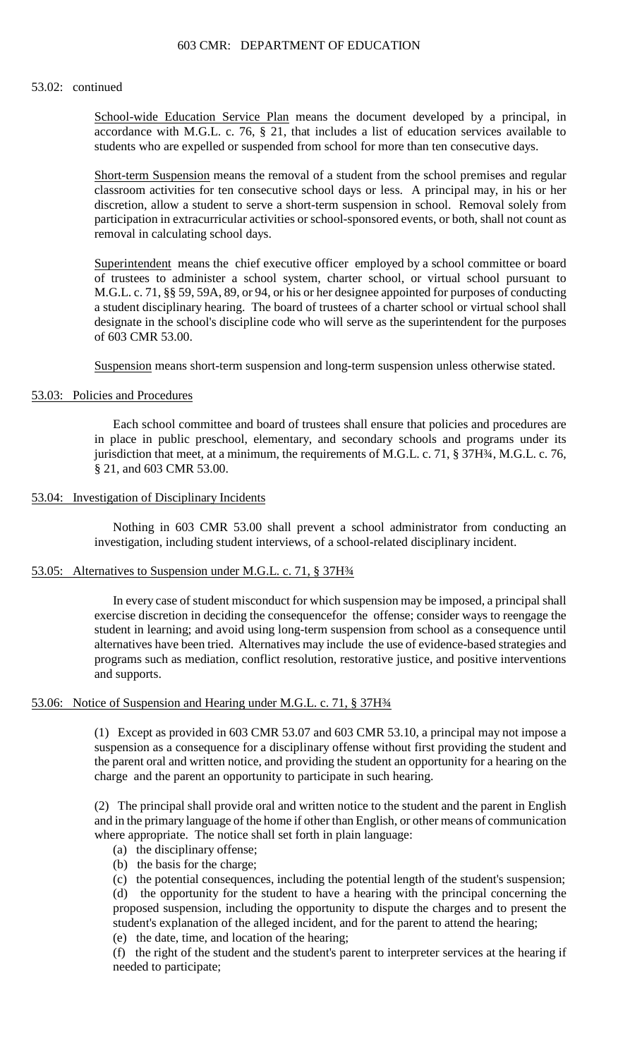### 53.02: continued

School-wide Education Service Plan means the document developed by a principal, in accordance with M.G.L. c. 76, § 21, that includes a list of education services available to students who are expelled or suspended from school for more than ten consecutive days.

Short-term Suspension means the removal of a student from the school premises and regular classroom activities for ten consecutive school days or less. A principal may, in his or her discretion, allow a student to serve a short-term suspension in school. Removal solely from participation in extracurricular activities or school-sponsored events, or both, shall not count as removal in calculating school days.

Superintendent means the chief executive officer employed by a school committee or board of trustees to administer a school system, charter school, or virtual school pursuant to M.G.L. c. 71, §§ 59, 59A, 89, or 94, or his or her designee appointed for purposes of conducting a student disciplinary hearing. The board of trustees of a charter school or virtual school shall designate in the school's discipline code who will serve as the superintendent for the purposes of 603 CMR 53.00.

Suspension means short-term suspension and long-term suspension unless otherwise stated.

## 53.03: Policies and Procedures

Each school committee and board of trustees shall ensure that policies and procedures are in place in public preschool, elementary, and secondary schools and programs under its jurisdiction that meet, at a minimum, the requirements of M.G.L. c. 71, § 37H¾, M.G.L. c. 76, § 21, and 603 CMR 53.00.

## 53.04: Investigation of Disciplinary Incidents

Nothing in 603 CMR 53.00 shall prevent a school administrator from conducting an investigation, including student interviews, of a school-related disciplinary incident.

# 53.05: Alternatives to Suspension under M.G.L. c. 71, § 37H3/4

 In every case of student misconduct for which suspension may be imposed, a principal shall exercise discretion in deciding the consequencefor the offense; consider ways to reengage the student in learning; and avoid using long-term suspension from school as a consequence until alternatives have been tried. Alternatives may include the use of evidence-based strategies and programs such as mediation, conflict resolution, restorative justice, and positive interventions and supports.

### 53.06: Notice of Suspension and Hearing under M.G.L. c. 71, § 37H¾

(1) Except as provided in 603 CMR 53.07 and 603 CMR 53.10, a principal may not impose a suspension as a consequence for a disciplinary offense without first providing the student and the parent oral and written notice, and providing the student an opportunity for a hearing on the charge and the parent an opportunity to participate in such hearing.

 (2) The principal shall provide oral and written notice to the student and the parent in English and in the primary language of the home if other than English, or other means of communication where appropriate. The notice shall set forth in plain language:

- (a) the disciplinary offense;
- (b) the basis for the charge;

(c) the potential consequences, including the potential length of the student's suspension; (d) the opportunity for the student to have a hearing with the principal concerning the proposed suspension, including the opportunity to dispute the charges and to present the student's explanation of the alleged incident, and for the parent to attend the hearing;

(e) the date, time, and location of the hearing;

(f) the right of the student and the student's parent to interpreter services at the hearing if needed to participate;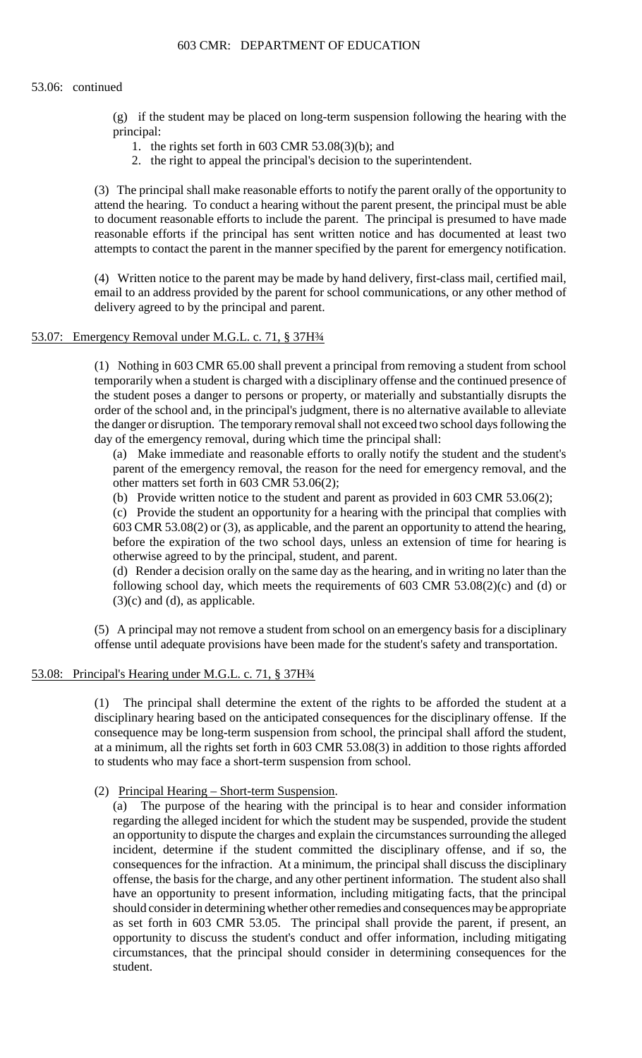### 603 CMR: DEPARTMENT OF EDUCATION

#### 53.06: continued

(g) if the student may be placed on long-term suspension following the hearing with the principal:

- 1. the rights set forth in 603 CMR 53.08(3)(b); and
- 2. the right to appeal the principal's decision to the superintendent.

 (3) The principal shall make reasonable efforts to notify the parent orally of the opportunity to attend the hearing. To conduct a hearing without the parent present, the principal must be able reasonable efforts if the principal has sent written notice and has documented at least two to document reasonable efforts to include the parent. The principal is presumed to have made attempts to contact the parent in the manner specified by the parent for emergency notification.

(4) Written notice to the parent may be made by hand delivery, first-class mail, certified mail, email to an address provided by the parent for school communications, or any other method of delivery agreed to by the principal and parent.

### 53.07: Emergency Removal under M.G.L. c. 71, § 37H34

(1) Nothing in 603 CMR 65.00 shall prevent a principal from removing a student from school temporarily when a student is charged with a disciplinary offense and the continued presence of the student poses a danger to persons or property, or materially and substantially disrupts the order of the school and, in the principal's judgment, there is no alternative available to alleviate the danger or disruption. The temporary removal shall not exceed two school days following the day of the emergency removal, during which time the principal shall:

(a) Make immediate and reasonable efforts to orally notify the student and the student's parent of the emergency removal, the reason for the need for emergency removal, and the other matters set forth in 603 CMR 53.06(2);

(b) Provide written notice to the student and parent as provided in 603 CMR 53.06(2);

 (c) Provide the student an opportunity for a hearing with the principal that complies with 603 CMR 53.08(2) or (3), as applicable, and the parent an opportunity to attend the hearing, before the expiration of the two school days, unless an extension of time for hearing is otherwise agreed to by the principal, student, and parent.

(d) Render a decision orally on the same day as the hearing, and in writing no later than the following school day, which meets the requirements of 603 CMR 53.08(2)(c) and (d) or  $(3)(c)$  and  $(d)$ , as applicable.

(5) A principal may not remove a student from school on an emergency basis for a disciplinary offense until adequate provisions have been made for the student's safety and transportation.

## 53.08: Principal's Hearing under M.G.L. c. 71, § 37H3⁄4

(1) The principal shall determine the extent of the rights to be afforded the student at a disciplinary hearing based on the anticipated consequences for the disciplinary offense. If the consequence may be long-term suspension from school, the principal shall afford the student, at a minimum, all the rights set forth in 603 CMR 53.08(3) in addition to those rights afforded to students who may face a short-term suspension from school.

(2) Principal Hearing – Short-term Suspension.

(a) The purpose of the hearing with the principal is to hear and consider information regarding the alleged incident for which the student may be suspended, provide the student an opportunity to dispute the charges and explain the circumstances surrounding the alleged incident, determine if the student committed the disciplinary offense, and if so, the consequences for the infraction. At a minimum, the principal shall discuss the disciplinary offense, the basis for the charge, and any other pertinent information. The student also shall have an opportunity to present information, including mitigating facts, that the principal should consider in determining whether other remedies and consequences may be appropriate as set forth in 603 CMR 53.05. The principal shall provide the parent, if present, an opportunity to discuss the student's conduct and offer information, including mitigating circumstances, that the principal should consider in determining consequences for the student.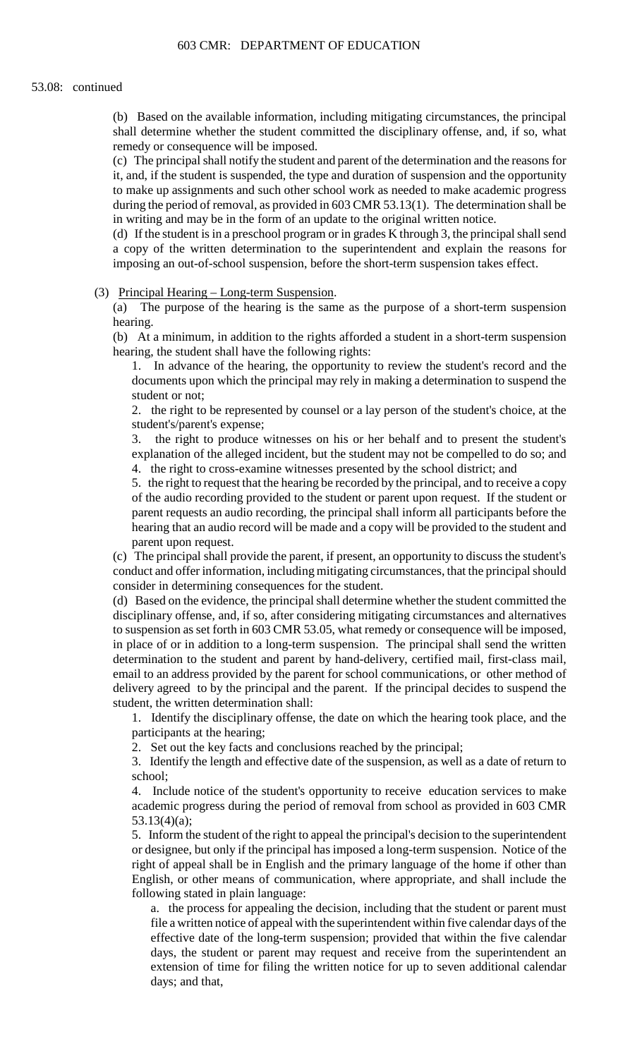(b) Based on the available information, including mitigating circumstances, the principal shall determine whether the student committed the disciplinary offense, and, if so, what remedy or consequence will be imposed.

 it, and, if the student is suspended, the type and duration of suspension and the opportunity (c) The principal shall notify the student and parent of the determination and the reasons for to make up assignments and such other school work as needed to make academic progress during the period of removal, as provided in 603 CMR 53.13(1). The determination shall be in writing and may be in the form of an update to the original written notice.

(d) If the student is in a preschool program or in grades K through 3, the principal shall send a copy of the written determination to the superintendent and explain the reasons for imposing an out-of-school suspension, before the short-term suspension takes effect.

(3) Principal Hearing – Long-term Suspension.

(a) The purpose of the hearing is the same as the purpose of a short-term suspension hearing.

(b) At a minimum, in addition to the rights afforded a student in a short-term suspension hearing, the student shall have the following rights:

 1. In advance of the hearing, the opportunity to review the student's record and the documents upon which the principal may rely in making a determination to suspend the student or not;

2. the right to be represented by counsel or a lay person of the student's choice, at the student's/parent's expense;

 explanation of the alleged incident, but the student may not be compelled to do so; and 3. the right to produce witnesses on his or her behalf and to present the student's 4. the right to cross-examine witnesses presented by the school district; and

 hearing that an audio record will be made and a copy will be provided to the student and 5. the right to request that the hearing be recorded by the principal, and to receive a copy of the audio recording provided to the student or parent upon request. If the student or parent requests an audio recording, the principal shall inform all participants before the parent upon request.

 (c) The principal shall provide the parent, if present, an opportunity to discuss the student's conduct and offer information, including mitigating circumstances, that the principal should consider in determining consequences for the student.

(d) Based on the evidence, the principal shall determine whether the student committed the disciplinary offense, and, if so, after considering mitigating circumstances and alternatives to suspension as set forth in 603 CMR 53.05, what remedy or consequence will be imposed, in place of or in addition to a long-term suspension. The principal shall send the written determination to the student and parent by hand-delivery, certified mail, first-class mail, email to an address provided by the parent for school communications, or other method of delivery agreed to by the principal and the parent. If the principal decides to suspend the student, the written determination shall:

1. Identify the disciplinary offense, the date on which the hearing took place, and the participants at the hearing;

2. Set out the key facts and conclusions reached by the principal;

 3. Identify the length and effective date of the suspension, as well as a date of return to school;

4. Include notice of the student's opportunity to receive education services to make academic progress during the period of removal from school as provided in 603 CMR 53.13(4)(a);

5. Inform the student of the right to appeal the principal's decision to the superintendent or designee, but only if the principal has imposed a long-term suspension. Notice of the right of appeal shall be in English and the primary language of the home if other than English, or other means of communication, where appropriate, and shall include the following stated in plain language:

 a. the process for appealing the decision, including that the student or parent must file a written notice of appeal with the superintendent within five calendar days of the effective date of the long-term suspension; provided that within the five calendar days, the student or parent may request and receive from the superintendent an extension of time for filing the written notice for up to seven additional calendar days; and that,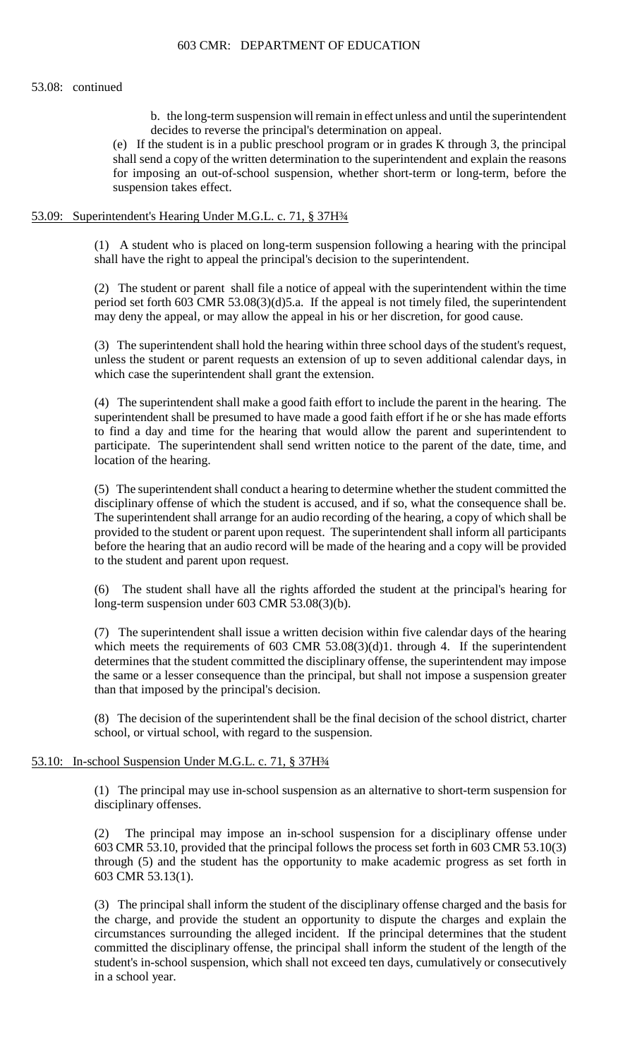b. the long-term suspension will remain in effect unless and until the superintendent decides to reverse the principal's determination on appeal.

(e) If the student is in a public preschool program or in grades K through 3, the principal shall send a copy of the written determination to the superintendent and explain the reasons for imposing an out-of-school suspension, whether short-term or long-term, before the suspension takes effect.

### 53.09: Superintendent's Hearing Under M.G.L. c. 71, § 37H¾

 (1) A student who is placed on long-term suspension following a hearing with the principal shall have the right to appeal the principal's decision to the superintendent.

 (2) The student or parent shall file a notice of appeal with the superintendent within the time period set forth 603 CMR 53.08(3)(d)5.a. If the appeal is not timely filed, the superintendent may deny the appeal, or may allow the appeal in his or her discretion, for good cause.

 (3) The superintendent shall hold the hearing within three school days of the student's request, unless the student or parent requests an extension of up to seven additional calendar days, in which case the superintendent shall grant the extension.

 superintendent shall be presumed to have made a good faith effort if he or she has made efforts (4) The superintendent shall make a good faith effort to include the parent in the hearing. The to find a day and time for the hearing that would allow the parent and superintendent to participate. The superintendent shall send written notice to the parent of the date, time, and location of the hearing.

(5) The superintendent shall conduct a hearing to determine whether the student committed the disciplinary offense of which the student is accused, and if so, what the consequence shall be. The superintendent shall arrange for an audio recording of the hearing, a copy of which shall be provided to the student or parent upon request. The superintendent shall inform all participants before the hearing that an audio record will be made of the hearing and a copy will be provided to the student and parent upon request.

(6) The student shall have all the rights afforded the student at the principal's hearing for long-term suspension under 603 CMR 53.08(3)(b).

 determines that the student committed the disciplinary offense, the superintendent may impose (7) The superintendent shall issue a written decision within five calendar days of the hearing which meets the requirements of 603 CMR 53.08(3)(d)1. through 4. If the superintendent the same or a lesser consequence than the principal, but shall not impose a suspension greater than that imposed by the principal's decision.

 (8) The decision of the superintendent shall be the final decision of the school district, charter school, or virtual school, with regard to the suspension.

### 53.10: In-school Suspension Under M.G.L. c. 71, § 37H¾

(1) The principal may use in-school suspension as an alternative to short-term suspension for disciplinary offenses.

(2) The principal may impose an in-school suspension for a disciplinary offense under 603 CMR 53.10, provided that the principal follows the process set forth in 603 CMR 53.10(3) through (5) and the student has the opportunity to make academic progress as set forth in 603 CMR 53.13(1).

 the charge, and provide the student an opportunity to dispute the charges and explain the committed the disciplinary offense, the principal shall inform the student of the length of the (3) The principal shall inform the student of the disciplinary offense charged and the basis for circumstances surrounding the alleged incident. If the principal determines that the student student's in-school suspension, which shall not exceed ten days, cumulatively or consecutively in a school year.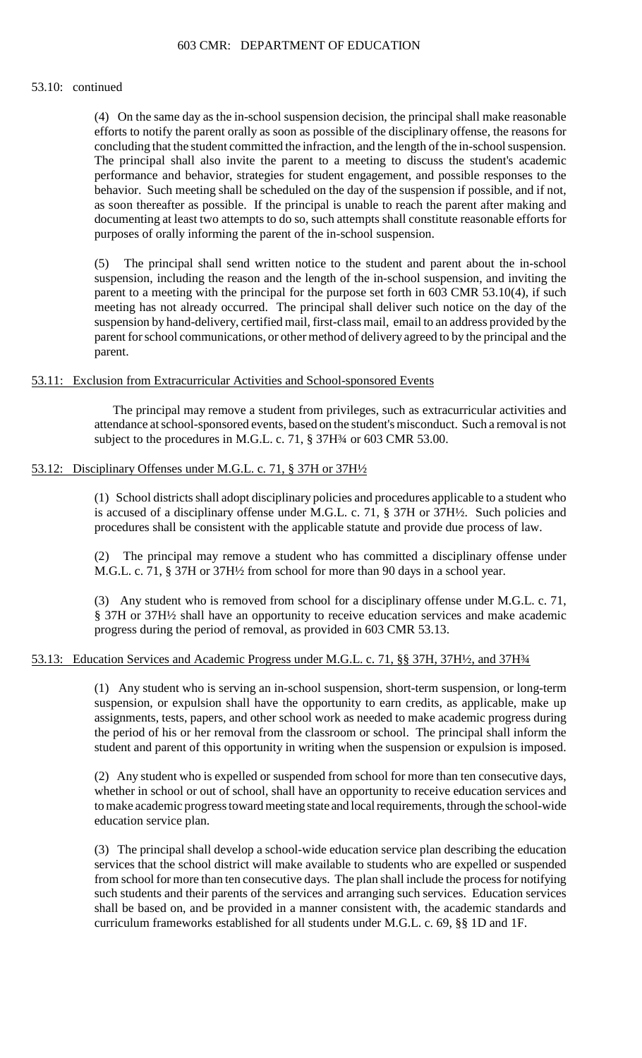#### 53.10: continued

 (4) On the same day as the in-school suspension decision, the principal shall make reasonable efforts to notify the parent orally as soon as possible of the disciplinary offense, the reasons for concluding that the student committed the infraction, and the length of the in-school suspension. The principal shall also invite the parent to a meeting to discuss the student's academic performance and behavior, strategies for student engagement, and possible responses to the behavior. Such meeting shall be scheduled on the day of the suspension if possible, and if not, as soon thereafter as possible. If the principal is unable to reach the parent after making and documenting at least two attempts to do so, such attempts shall constitute reasonable efforts for purposes of orally informing the parent of the in-school suspension.

(5) The principal shall send written notice to the student and parent about the in-school suspension, including the reason and the length of the in-school suspension, and inviting the parent to a meeting with the principal for the purpose set forth in 603 CMR 53.10(4), if such meeting has not already occurred. The principal shall deliver such notice on the day of the suspension by hand-delivery, certified mail, first-class mail, email to an address provided by the parent for school communications, or other method of delivery agreed to by the principal and the parent.

### 53.11: Exclusion from Extracurricular Activities and School-sponsored Events

The principal may remove a student from privileges, such as extracurricular activities and attendance at school-sponsored events, based on the student's misconduct. Such a removal is not subject to the procedures in M.G.L. c. 71, § 37H<sup>3</sup>/4 or 603 CMR 53.00.

## 53.12: Disciplinary Offenses under M.G.L. c. 71, § 37H or 37H $\frac{1}{2}$

(1) School districts shall adopt disciplinary policies and procedures applicable to a student who is accused of a disciplinary offense under M.G.L. c. 71, § 37H or 37H½. Such policies and procedures shall be consistent with the applicable statute and provide due process of law.

(2) The principal may remove a student who has committed a disciplinary offense under M.G.L. c. 71, § 37H or 37H½ from school for more than 90 days in a school year.

(3) Any student who is removed from school for a disciplinary offense under M.G.L. c. 71, § 37H or 37H½ shall have an opportunity to receive education services and make academic progress during the period of removal, as provided in 603 CMR 53.13.

# 53.13: Education Services and Academic Progress under M.G.L. c. 71, §§ 37H, 37H½, and 37H¾

 (1) Any student who is serving an in-school suspension, short-term suspension, or long-term suspension, or expulsion shall have the opportunity to earn credits, as applicable, make up the period of his or her removal from the classroom or school. The principal shall inform the assignments, tests, papers, and other school work as needed to make academic progress during student and parent of this opportunity in writing when the suspension or expulsion is imposed.

(2) Any student who is expelled or suspended from school for more than ten consecutive days, whether in school or out of school, shall have an opportunity to receive education services and to make academic progress toward meeting state and local requirements, through the school-wide education service plan.

 shall be based on, and be provided in a manner consistent with, the academic standards and (3) The principal shall develop a school-wide education service plan describing the education services that the school district will make available to students who are expelled or suspended from school for more than ten consecutive days. The plan shall include the process for notifying such students and their parents of the services and arranging such services. Education services curriculum frameworks established for all students under M.G.L. c. 69, §§ 1D and 1F.